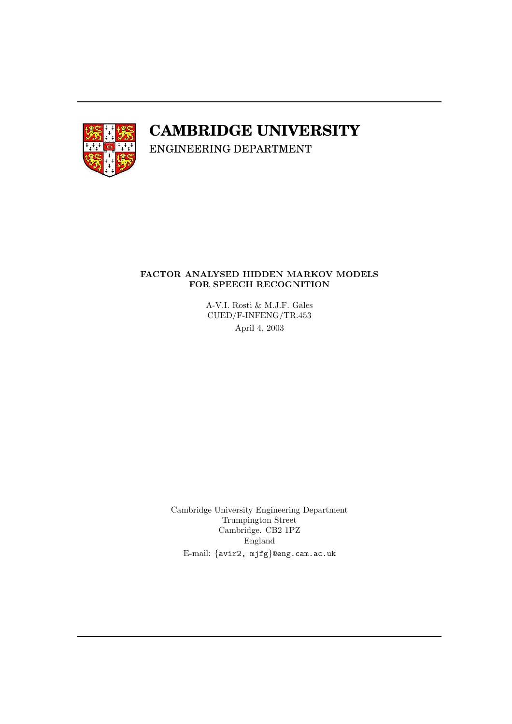

# **CAMBRIDGE UNIVERSITY**

ENGINEERING DEPARTMENT

## FACTOR ANALYSED HIDDEN MARKOV MODELS FOR SPEECH RECOGNITION

A-V.I. Rosti & M.J.F. Gales CUED/F-INFENG/TR.453 April 4, 2003

Cambridge University Engineering Department Trumpington Street Cambridge. CB2 1PZ England E-mail: {avir2, mjfg}@eng.cam.ac.uk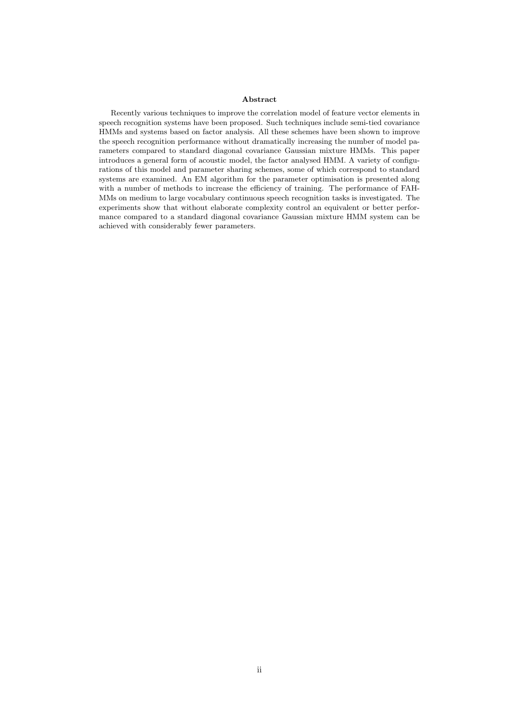#### Abstract

Recently various techniques to improve the correlation model of feature vector elements in speech recognition systems have been proposed. Such techniques include semi-tied covariance HMMs and systems based on factor analysis. All these schemes have been shown to improve the speech recognition performance without dramatically increasing the number of model parameters compared to standard diagonal covariance Gaussian mixture HMMs. This paper introduces a general form of acoustic model, the factor analysed HMM. A variety of configurations of this model and parameter sharing schemes, some of which correspond to standard systems are examined. An EM algorithm for the parameter optimisation is presented along with a number of methods to increase the efficiency of training. The performance of FAH-MMs on medium to large vocabulary continuous speech recognition tasks is investigated. The experiments show that without elaborate complexity control an equivalent or better performance compared to a standard diagonal covariance Gaussian mixture HMM system can be achieved with considerably fewer parameters.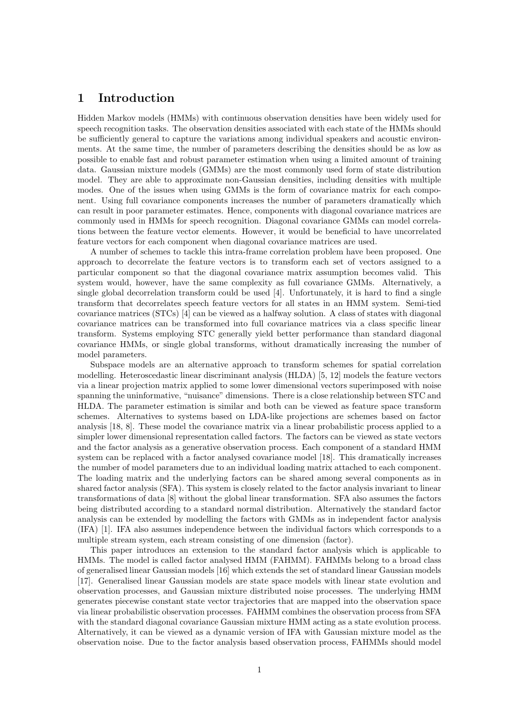# 1 Introduction

Hidden Markov models (HMMs) with continuous observation densities have been widely used for speech recognition tasks. The observation densities associated with each state of the HMMs should be sufficiently general to capture the variations among individual speakers and acoustic environments. At the same time, the number of parameters describing the densities should be as low as possible to enable fast and robust parameter estimation when using a limited amount of training data. Gaussian mixture models (GMMs) are the most commonly used form of state distribution model. They are able to approximate non-Gaussian densities, including densities with multiple modes. One of the issues when using GMMs is the form of covariance matrix for each component. Using full covariance components increases the number of parameters dramatically which can result in poor parameter estimates. Hence, components with diagonal covariance matrices are commonly used in HMMs for speech recognition. Diagonal covariance GMMs can model correlations between the feature vector elements. However, it would be beneficial to have uncorrelated feature vectors for each component when diagonal covariance matrices are used.

A number of schemes to tackle this intra-frame correlation problem have been proposed. One approach to decorrelate the feature vectors is to transform each set of vectors assigned to a particular component so that the diagonal covariance matrix assumption becomes valid. This system would, however, have the same complexity as full covariance GMMs. Alternatively, a single global decorrelation transform could be used [4]. Unfortunately, it is hard to find a single transform that decorrelates speech feature vectors for all states in an HMM system. Semi-tied covariance matrices (STCs) [4] can be viewed as a halfway solution. A class of states with diagonal covariance matrices can be transformed into full covariance matrices via a class specific linear transform. Systems employing STC generally yield better performance than standard diagonal covariance HMMs, or single global transforms, without dramatically increasing the number of model parameters.

Subspace models are an alternative approach to transform schemes for spatial correlation modelling. Heteroscedastic linear discriminant analysis (HLDA) [5, 12] models the feature vectors via a linear projection matrix applied to some lower dimensional vectors superimposed with noise spanning the uninformative, "nuisance" dimensions. There is a close relationship between STC and HLDA. The parameter estimation is similar and both can be viewed as feature space transform schemes. Alternatives to systems based on LDA-like projections are schemes based on factor analysis [18, 8]. These model the covariance matrix via a linear probabilistic process applied to a simpler lower dimensional representation called factors. The factors can be viewed as state vectors and the factor analysis as a generative observation process. Each component of a standard HMM system can be replaced with a factor analysed covariance model [18]. This dramatically increases the number of model parameters due to an individual loading matrix attached to each component. The loading matrix and the underlying factors can be shared among several components as in shared factor analysis (SFA). This system is closely related to the factor analysis invariant to linear transformations of data [8] without the global linear transformation. SFA also assumes the factors being distributed according to a standard normal distribution. Alternatively the standard factor analysis can be extended by modelling the factors with GMMs as in independent factor analysis (IFA) [1]. IFA also assumes independence between the individual factors which corresponds to a multiple stream system, each stream consisting of one dimension (factor).

This paper introduces an extension to the standard factor analysis which is applicable to HMMs. The model is called factor analysed HMM (FAHMM). FAHMMs belong to a broad class of generalised linear Gaussian models [16] which extends the set of standard linear Gaussian models [17]. Generalised linear Gaussian models are state space models with linear state evolution and observation processes, and Gaussian mixture distributed noise processes. The underlying HMM generates piecewise constant state vector trajectories that are mapped into the observation space via linear probabilistic observation processes. FAHMM combines the observation process from SFA with the standard diagonal covariance Gaussian mixture HMM acting as a state evolution process. Alternatively, it can be viewed as a dynamic version of IFA with Gaussian mixture model as the observation noise. Due to the factor analysis based observation process, FAHMMs should model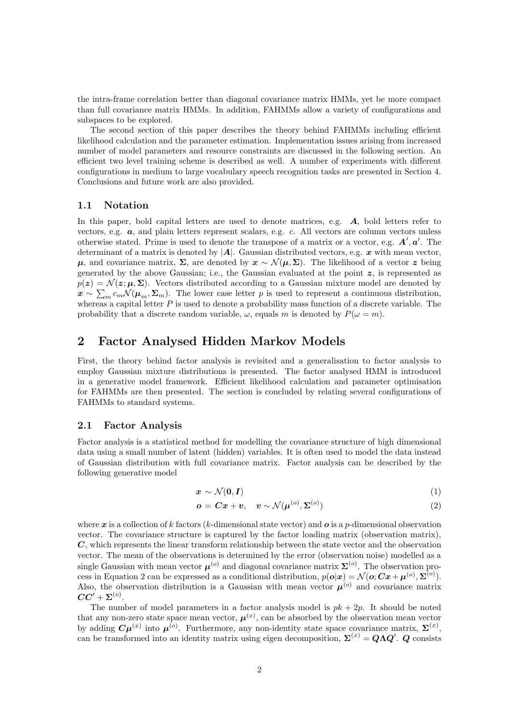the intra-frame correlation better than diagonal covariance matrix HMMs, yet be more compact than full covariance matrix HMMs. In addition, FAHMMs allow a variety of configurations and subspaces to be explored.

The second section of this paper describes the theory behind FAHMMs including efficient likelihood calculation and the parameter estimation. Implementation issues arising from increased number of model parameters and resource constraints are discussed in the following section. An efficient two level training scheme is described as well. A number of experiments with different configurations in medium to large vocabulary speech recognition tasks are presented in Section 4. Conclusions and future work are also provided.

#### 1.1 Notation

In this paper, bold capital letters are used to denote matrices, e.g. A, bold letters refer to vectors, e.g.  $a$ , and plain letters represent scalars, e.g.  $c$ . All vectors are column vectors unless otherwise stated. Prime is used to denote the transpose of a matrix or a vector, e.g.  $A', a'$ . The determinant of a matrix is denoted by  $|A|$ . Gaussian distributed vectors, e.g. x with mean vector,  $\mu$ , and covariance matrix, Σ, are denoted by  $x \sim \mathcal{N}(\mu, \Sigma)$ . The likelihood of a vector z being generated by the above Gaussian; i.e., the Gaussian evaluated at the point  $\boldsymbol{z}$ , is represented as  $p(z) = \mathcal{N}(z; \mu, \Sigma)$ . Vectors distributed according to a Gaussian mixture model are denoted by  $x \sim \sum_m c_m \mathcal{N}(\mu_m, \Sigma_m)$ . The lower case letter p is used to represent a continuous distribution, whereas a capital letter  $P$  is used to denote a probability mass function of a discrete variable. The probability that a discrete random variable,  $\omega$ , equals m is denoted by  $P(\omega = m)$ .

# 2 Factor Analysed Hidden Markov Models

First, the theory behind factor analysis is revisited and a generalisation to factor analysis to employ Gaussian mixture distributions is presented. The factor analysed HMM is introduced in a generative model framework. Efficient likelihood calculation and parameter optimisation for FAHMMs are then presented. The section is concluded by relating several configurations of FAHMMs to standard systems.

#### 2.1 Factor Analysis

Factor analysis is a statistical method for modelling the covariance structure of high dimensional data using a small number of latent (hidden) variables. It is often used to model the data instead of Gaussian distribution with full covariance matrix. Factor analysis can be described by the following generative model

$$
x \sim \mathcal{N}(0, I) \tag{1}
$$

$$
o = Cx + v, \quad v \sim \mathcal{N}(\mu^{(o)}, \Sigma^{(o)})
$$
 (2)

where x is a collection of k factors (k-dimensional state vector) and  $\boldsymbol{o}$  is a p-dimensional observation vector. The covariance structure is captured by the factor loading matrix (observation matrix), C, which represents the linear transform relationship between the state vector and the observation vector. The mean of the observations is determined by the error (observation noise) modelled as a single Gaussian with mean vector  $\mu^{(o)}$  and diagonal covariance matrix  $\Sigma^{(o)}$ . The observation process in Equation 2 can be expressed as a conditional distribution,  $p(\boldsymbol{o}|\boldsymbol{x}) = \mathcal{N}(\boldsymbol{o}; \boldsymbol{C}\boldsymbol{x} + \boldsymbol{\mu}^{(o)}, \boldsymbol{\Sigma}^{(o)})$ . Also, the observation distribution is a Gaussian with mean vector  $\mu^{(o)}$  and covariance matrix  $\boldsymbol{C}\boldsymbol{C}' + \boldsymbol{\Sigma}^{(o)}.$ 

The number of model parameters in a factor analysis model is  $pk + 2p$ . It should be noted that any non-zero state space mean vector,  $\mu^{(x)}$ , can be absorbed by the observation mean vector by adding  $C\mu^{(x)}$  into  $\mu^{(o)}$ . Furthermore, any non-identity state space covariance matrix,  $\Sigma^{(x)}$ , can be transformed into an identity matrix using eigen decomposition,  $\Sigma^{(x)} = Q \Lambda Q'$ . Q consists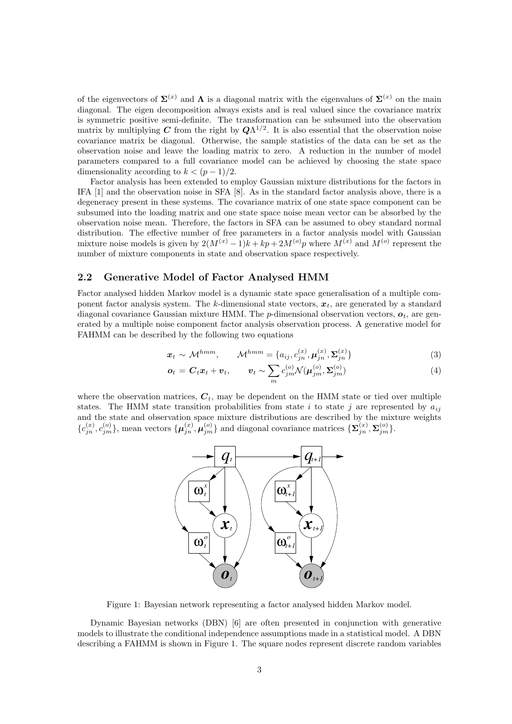of the eigenvectors of  $\Sigma^{(x)}$  and  $\Lambda$  is a diagonal matrix with the eigenvalues of  $\Sigma^{(x)}$  on the main diagonal. The eigen decomposition always exists and is real valued since the covariance matrix is symmetric positive semi-definite. The transformation can be subsumed into the observation matrix by multiplying C from the right by  $Q\Lambda^{1/2}$ . It is also essential that the observation noise covariance matrix be diagonal. Otherwise, the sample statistics of the data can be set as the observation noise and leave the loading matrix to zero. A reduction in the number of model parameters compared to a full covariance model can be achieved by choosing the state space dimensionality according to  $k < (p-1)/2$ .

Factor analysis has been extended to employ Gaussian mixture distributions for the factors in IFA [1] and the observation noise in SFA [8]. As in the standard factor analysis above, there is a degeneracy present in these systems. The covariance matrix of one state space component can be subsumed into the loading matrix and one state space noise mean vector can be absorbed by the observation noise mean. Therefore, the factors in SFA can be assumed to obey standard normal distribution. The effective number of free parameters in a factor analysis model with Gaussian mixture noise models is given by  $2(M^{(x)}-1)k + kp + 2M^{(o)}p$  where  $M^{(x)}$  and  $M^{(o)}$  represent the number of mixture components in state and observation space respectively.

## 2.2 Generative Model of Factor Analysed HMM

Factor analysed hidden Markov model is a dynamic state space generalisation of a multiple component factor analysis system. The k-dimensional state vectors,  $x_t$ , are generated by a standard diagonal covariance Gaussian mixture HMM. The p-dimensional observation vectors,  $\boldsymbol{o}_t$ , are generated by a multiple noise component factor analysis observation process. A generative model for FAHMM can be described by the following two equations

$$
\boldsymbol{x}_t \sim \mathcal{M}^{hmm}, \qquad \mathcal{M}^{hmm} = \{a_{ij}, c_{jn}^{(x)}, \boldsymbol{\mu}_{jn}^{(x)}, \boldsymbol{\Sigma}_{jn}^{(x)}\}
$$
(3)

$$
\boldsymbol{o}_t = \boldsymbol{C}_t \boldsymbol{x}_t + \boldsymbol{v}_t, \qquad \boldsymbol{v}_t \sim \sum_m c_{jm}^{(o)} \mathcal{N}(\boldsymbol{\mu}_{jm}^{(o)}, \boldsymbol{\Sigma}_{jm}^{(o)})
$$
(4)

where the observation matrices,  $C_t$ , may be dependent on the HMM state or tied over multiple states. The HMM state transition probabilities from state i to state j are represented by  $a_{ij}$ and the state and observation space mixture distributions are described by the mixture weights  ${c}_{jn}^{(x)}, c_{jm}^{(o)}\},$  mean vectors  $\{\boldsymbol{\mu}_{jn}^{(x)}, \boldsymbol{\mu}_{jm}^{(o)}\}$  and diagonal covariance matrices  ${\{\boldsymbol{\Sigma}_{jn}^{(x)}, \boldsymbol{\Sigma}_{jm}^{(o)}\}}$ .



Figure 1: Bayesian network representing a factor analysed hidden Markov model.

Dynamic Bayesian networks (DBN) [6] are often presented in conjunction with generative models to illustrate the conditional independence assumptions made in a statistical model. A DBN describing a FAHMM is shown in Figure 1. The square nodes represent discrete random variables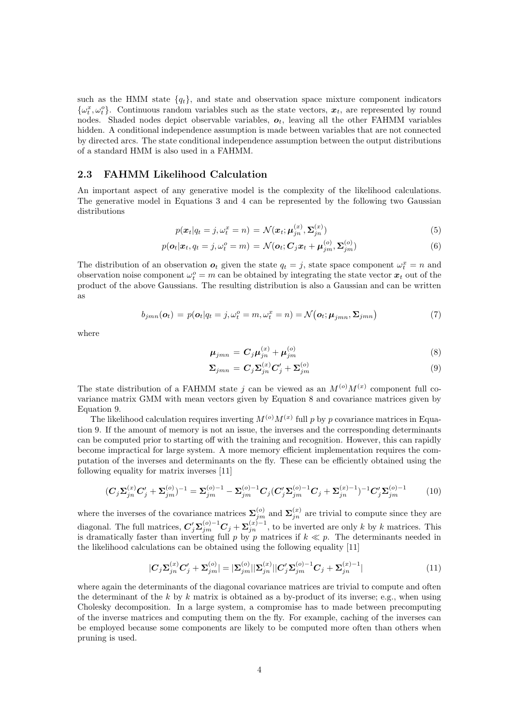such as the HMM state  ${q_t}$ , and state and observation space mixture component indicators  $\{\omega_t^x, \omega_t^o\}$ . Continuous random variables such as the state vectors,  $x_t$ , are represented by round nodes. Shaded nodes depict observable variables,  $o_t$ , leaving all the other FAHMM variables hidden. A conditional independence assumption is made between variables that are not connected by directed arcs. The state conditional independence assumption between the output distributions of a standard HMM is also used in a FAHMM.

## 2.3 FAHMM Likelihood Calculation

An important aspect of any generative model is the complexity of the likelihood calculations. The generative model in Equations 3 and 4 can be represented by the following two Gaussian distributions

$$
p(\boldsymbol{x}_t|q_t=j,\omega_t^x=n)=\mathcal{N}(\boldsymbol{x}_t;\boldsymbol{\mu}_{jn}^{(x)},\boldsymbol{\Sigma}_{jn}^{(x)})
$$
\n(5)

$$
p(\boldsymbol{o}_t|\boldsymbol{x}_t, q_t = j, \omega_t^o = m) = \mathcal{N}(\boldsymbol{o}_t; \boldsymbol{C}_j \boldsymbol{x}_t + \boldsymbol{\mu}_{jm}^{(o)}, \boldsymbol{\Sigma}_{jm}^{(o)})
$$
(6)

The distribution of an observation  $o_t$  given the state  $q_t = j$ , state space component  $\omega_t^x = n$  and observation noise component  $\omega_t^o = m$  can be obtained by integrating the state vector  $\boldsymbol{x}_t$  out of the product of the above Gaussians. The resulting distribution is also a Gaussian and can be written as

$$
b_{jmn}(\boldsymbol{o}_t) = p(\boldsymbol{o}_t | q_t = j, \omega_t^o = m, \omega_t^x = n) = \mathcal{N}(\boldsymbol{o}_t; \boldsymbol{\mu}_{jmn}, \boldsymbol{\Sigma}_{jmn})
$$
(7)

where

$$
\mu_{jmn} = C_j \mu_{jn}^{(x)} + \mu_{jm}^{(o)}
$$
\n(8)

$$
\Sigma_{jmn} = C_j \Sigma_{jn}^{(x)} C_j' + \Sigma_{jm}^{(o)}
$$
\n(9)

The state distribution of a FAHMM state j can be viewed as an  $M^{(o)}M^{(x)}$  component full covariance matrix GMM with mean vectors given by Equation 8 and covariance matrices given by Equation 9.

The likelihood calculation requires inverting  $M^{(o)}M^{(x)}$  full p by p covariance matrices in Equation 9. If the amount of memory is not an issue, the inverses and the corresponding determinants can be computed prior to starting off with the training and recognition. However, this can rapidly become impractical for large system. A more memory efficient implementation requires the computation of the inverses and determinants on the fly. These can be efficiently obtained using the following equality for matrix inverses [11]

$$
(C_j \Sigma_{jn}^{(x)} C'_j + \Sigma_{jm}^{(o)})^{-1} = \Sigma_{jm}^{(o)-1} - \Sigma_{jm}^{(o)-1} C_j (C'_j \Sigma_{jm}^{(o)-1} C_j + \Sigma_{jn}^{(x)-1})^{-1} C'_j \Sigma_{jm}^{(o)-1}
$$
(10)

where the inverses of the covariance matrices  $\Sigma_{jm}^{(o)}$  and  $\Sigma_{jn}^{(x)}$  are trivial to compute since they are diagonal. The full matrices,  $C'_j \Sigma_{jm}^{(o)-1} C_j + \Sigma_{jn}^{(x)-1}$ , to be inverted are only k by k matrices. This is dramatically faster than inverting full p by p matrices if  $k \ll p$ . The determinants needed in the likelihood calculations can be obtained using the following equality [11]

$$
|\mathbf{C}_{j}\mathbf{\Sigma}_{jn}^{(x)}\mathbf{C}'_{j} + \mathbf{\Sigma}_{jm}^{(o)}| = |\mathbf{\Sigma}_{jm}^{(o)}||\mathbf{\Sigma}_{jn}^{(x)}||\mathbf{C}'_{j}\mathbf{\Sigma}_{jm}^{(o)-1}\mathbf{C}_{j} + \mathbf{\Sigma}_{jn}^{(x)-1}|
$$
\n(11)

where again the determinants of the diagonal covariance matrices are trivial to compute and often the determinant of the  $k$  by  $k$  matrix is obtained as a by-product of its inverse; e.g., when using Cholesky decomposition. In a large system, a compromise has to made between precomputing of the inverse matrices and computing them on the fly. For example, caching of the inverses can be employed because some components are likely to be computed more often than others when pruning is used.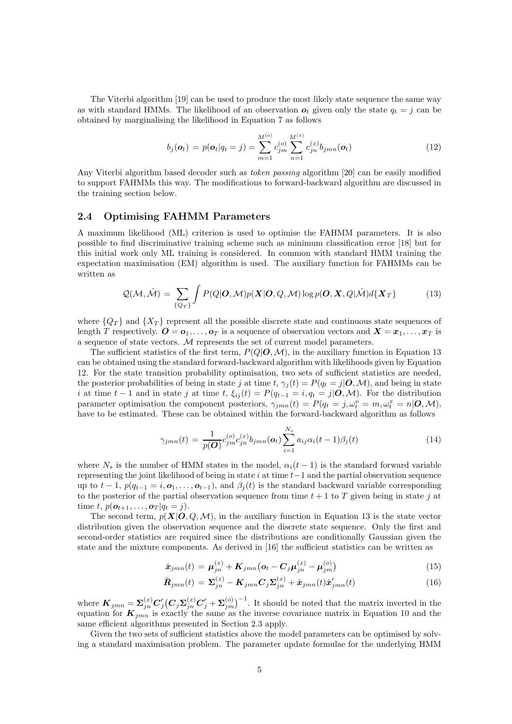The Viterbi algorithm [19] can be used to produce the most likely state sequence the same way as with standard HMMs. The likelihood of an observation  $o_t$  given only the state  $q_t = j$  can be obtained by marginalising the likelihood in Equation 7 as follows

$$
b_j(\mathbf{o}_t) = p(\mathbf{o}_t | q_t = j) = \sum_{m=1}^{M^{(o)}} c_{jm}^{(o)} \sum_{n=1}^{M^{(x)}} c_{jn}^{(x)} b_{jmn}(\mathbf{o}_t)
$$
(12)

Any Viterbi algorithm based decoder such as token passing algorithm [20] can be easily modified to support FAHMMs this way. The modifications to forward-backward algorithm are discussed in the training section below.

#### 2.4 Optimising FAHMM Parameters

A maximum likelihood (ML) criterion is used to optimise the FAHMM parameters. It is also possible to find discriminative training scheme such as minimum classification error [18] but for this initial work only ML training is considered. In common with standard HMM training the expectation maximisation (EM) algorithm is used. The auxiliary function for FAHMMs can be written as

$$
Q(\mathcal{M},\hat{\mathcal{M}}) = \sum_{\{Q_T\}} \int P(Q|\mathbf{O},\mathcal{M}) p(\mathbf{X}|\mathbf{O},Q,\mathcal{M}) \log p(\mathbf{O},\mathbf{X},Q|\hat{\mathcal{M}}) d\{\mathbf{X}_T\}
$$
(13)

where  ${Q_T}$  and  ${X_T}$  represent all the possible discrete state and continuous state sequences of length T respectively.  $\mathbf{O} = \mathbf{o}_1, \ldots, \mathbf{o}_T$  is a sequence of observation vectors and  $\mathbf{X} = \mathbf{x}_1, \ldots, \mathbf{x}_T$  is a sequence of state vectors. M represents the set of current model parameters.

The sufficient statistics of the first term,  $P(Q|O,\mathcal{M})$ , in the auxiliary function in Equation 13 can be obtained using the standard forward-backward algorithm with likelihoods given by Equation 12. For the state transition probability optimisation, two sets of sufficient statistics are needed, the posterior probabilities of being in state j at time t,  $\gamma_i(t) = P(q_t = j | \mathbf{O}, \mathcal{M})$ , and being in state i at time  $t - 1$  and in state j at time t,  $\xi_{ij}(t) = P(q_{t-1} = i, q_t = j | \mathbf{O}, \mathcal{M})$ . For the distribution parameter optimisation the component posteriors,  $\gamma_{jmn}(t) = P(q_t = j, \omega_t^o = m, \omega_t^x = n | \mathbf{O}, \mathcal{M}),$ have to be estimated. These can be obtained within the forward-backward algorithm as follows

$$
\gamma_{jmn}(t) = \frac{1}{p(\mathbf{O})} c_{jm}^{(o)} c_{jn}^{(x)} b_{jmn}(\mathbf{o}_t) \sum_{i=1}^{N_s} a_{ij} \alpha_i (t-1) \beta_j(t) \tag{14}
$$

where  $N_s$  is the number of HMM states in the model,  $\alpha_i(t-1)$  is the standard forward variable representing the joint likelihood of being in state  $i$  at time  $t-1$  and the partial observation sequence up to  $t-1$ ,  $p(q_{t-1} = i, o_1, \ldots, o_{t-1})$ , and  $\beta_i(t)$  is the standard backward variable corresponding to the posterior of the partial observation sequence from time  $t + 1$  to T given being in state j at time t,  $p(\mathbf{o}_{t+1}, \dots, \mathbf{o}_T | q_t = j)$ .

The second term,  $p(X|O, Q, M)$ , in the auxiliary function in Equation 13 is the state vector distribution given the observation sequence and the discrete state sequence. Only the first and second-order statistics are required since the distributions are conditionally Gaussian given the state and the mixture components. As derived in [16] the sufficient statistics can be written as

$$
\hat{\boldsymbol{x}}_{jmn}(t) = \boldsymbol{\mu}_{jn}^{(x)} + \boldsymbol{K}_{jmn} \big( \boldsymbol{o}_t - \boldsymbol{C}_j \boldsymbol{\mu}_{jn}^{(x)} - \boldsymbol{\mu}_{jm}^{(o)} \big)
$$
(15)

$$
\hat{\boldsymbol{R}}_{jmn}(t) = \boldsymbol{\Sigma}_{jn}^{(x)} - \boldsymbol{K}_{jmn} \boldsymbol{C}_j \boldsymbol{\Sigma}_{jn}^{(x)} + \hat{\boldsymbol{x}}_{jmn}(t) \hat{\boldsymbol{x}}'_{jmn}(t)
$$
(16)

where  $\mathbf{K}_{jmn} = \sum_{jn}^{(x)} C'_j \big( C_j \Sigma_{jn}^{(x)} C'_j + \Sigma_{jm}^{(o)} \big)^{-1}$ . It should be noted that the matrix inverted in the equation for  $K_{jmn}$  is exactly the same as the inverse covariance matrix in Equation 10 and the same efficient algorithms presented in Section 2.3 apply.

Given the two sets of sufficient statistics above the model parameters can be optimised by solving a standard maximisation problem. The parameter update formulae for the underlying HMM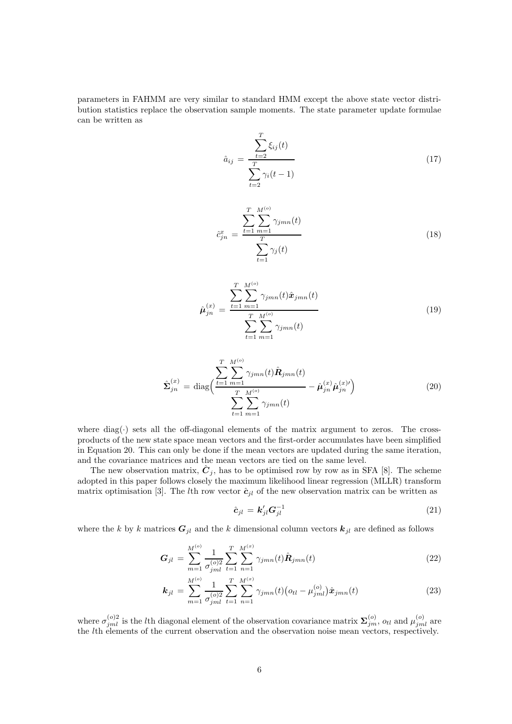parameters in FAHMM are very similar to standard HMM except the above state vector distribution statistics replace the observation sample moments. The state parameter update formulae can be written as

$$
\hat{a}_{ij} = \frac{\sum_{t=2}^{T} \xi_{ij}(t)}{\sum_{t=2}^{T} \gamma_i(t-1)}
$$
(17)

$$
\hat{c}_{jn}^{x} = \frac{\sum_{t=1}^{T} \sum_{m=1}^{M^{(o)}} \gamma_{jmn}(t)}{\sum_{t=1}^{T} \gamma_j(t)}
$$
\n(18)

$$
\hat{\boldsymbol{\mu}}_{jn}^{(x)} = \frac{\sum_{t=1}^{T} \sum_{m=1}^{M^{(o)}} \gamma_{jmn}(t)\hat{\boldsymbol{x}}_{jmn}(t)}{\sum_{t=1}^{T} \sum_{m=1}^{M^{(o)}} \gamma_{jmn}(t)}
$$
(19)

$$
\hat{\Sigma}_{jn}^{(x)} = \text{diag}\left(\frac{\sum_{t=1}^{T} \sum_{m=1}^{M^{(o)}} \gamma_{jmn}(t) \hat{\mathbf{R}}_{jmn}(t)}{\sum_{t=1}^{T} \sum_{m=1}^{M^{(o)}} \gamma_{jmn}(t)} - \hat{\boldsymbol{\mu}}_{jn}^{(x)} \hat{\boldsymbol{\mu}}_{jn}^{(x)}\right)
$$
(20)

where  $\text{diag}(\cdot)$  sets all the off-diagonal elements of the matrix argument to zeros. The crossproducts of the new state space mean vectors and the first-order accumulates have been simplified in Equation 20. This can only be done if the mean vectors are updated during the same iteration, and the covariance matrices and the mean vectors are tied on the same level.

The new observation matrix,  $\hat{\mathbf{C}}_j$ , has to be optimised row by row as in SFA [8]. The scheme adopted in this paper follows closely the maximum likelihood linear regression (MLLR) transform matrix optimisation [3]. The *l*th row vector  $\hat{\mathbf{c}}_{jl}$  of the new observation matrix can be written as

$$
\hat{\mathbf{c}}_{jl} = \mathbf{k}'_{jl} \mathbf{G}_{jl}^{-1} \tag{21}
$$

where the k by k matrices  $G_{jl}$  and the k dimensional column vectors  $k_{jl}$  are defined as follows

$$
G_{jl} = \sum_{m=1}^{M^{(o)}} \frac{1}{\sigma_{jml}^{(o)2}} \sum_{t=1}^{T} \sum_{n=1}^{M^{(x)}} \gamma_{jmn}(t) \hat{R}_{jmn}(t)
$$
(22)

$$
\boldsymbol{k}_{jl} = \sum_{m=1}^{M^{(o)}} \frac{1}{\sigma_{jml}^{(o)2}} \sum_{t=1}^{T} \sum_{n=1}^{M^{(x)}} \gamma_{jmn}(t) \big( o_{tl} - \mu_{jml}^{(o)} \big) \hat{\boldsymbol{x}}_{jmn}(t) \tag{23}
$$

where  $\sigma_{jml}^{(o)2}$  is the *l*th diagonal element of the observation covariance matrix  $\Sigma_{jm}^{(o)}$ ,  $o_{tl}$  and  $\mu_{jml}^{(o)}$  are the lth elements of the current observation and the observation noise mean vectors, respectively.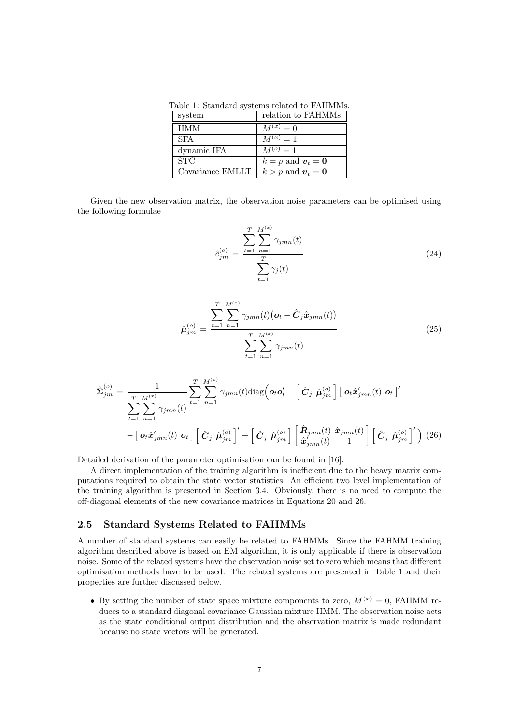Table 1: Standard systems related to FAHMMs.

| system           | relation to FAHMMs    |
|------------------|-----------------------|
| HMM              | $M^{(x)} = 0$         |
| <b>SFA</b>       | $M^{(x)}=1$           |
| dynamic IFA      | $M^{(o)} = 1$         |
| <b>STC</b>       | $k = p$ and $v_t = 0$ |
| Covariance EMLLT | $k > p$ and $v_t = 0$ |

Given the new observation matrix, the observation noise parameters can be optimised using the following formulae

$$
\hat{c}_{jm}^{(o)} = \frac{\sum_{t=1}^{T} \sum_{n=1}^{M^{(x)}} \gamma_{jmn}(t)}{\sum_{t=1}^{T} \gamma_j(t)}
$$
\n(24)

$$
\hat{\boldsymbol{\mu}}_{jm}^{(o)} = \frac{\sum_{t=1}^{T} \sum_{n=1}^{M^{(x)}} \gamma_{jmn}(t) (\boldsymbol{o}_t - \hat{\boldsymbol{C}}_j \hat{\boldsymbol{x}}_{jmn}(t))}{\sum_{t=1}^{T} \sum_{n=1}^{M^{(x)}} \gamma_{jmn}(t)}
$$
(25)

$$
\hat{\Sigma}_{jm}^{(o)} = \frac{1}{\sum_{t=1}^{T} \sum_{n=1}^{M^{(x)}} \gamma_{jmn}(t)} \sum_{t=1}^{T} \sum_{n=1}^{M^{(x)}} \gamma_{jmn}(t) \text{diag}\left(\boldsymbol{o}_t \boldsymbol{o}_t' - \left[\hat{\boldsymbol{C}}_j \hat{\boldsymbol{\mu}}_{jm}^{(o)}\right] \left[\boldsymbol{o}_t \hat{\boldsymbol{x}}_{jmn}'(t) \boldsymbol{o}_t\right]'\right)
$$

$$
- \left[\boldsymbol{o}_t \hat{\boldsymbol{x}}_{jmn}'(t) \boldsymbol{o}_t\right] \left[\hat{\boldsymbol{C}}_j \hat{\boldsymbol{\mu}}_{jm}^{(o)}\right]' + \left[\hat{\boldsymbol{C}}_j \hat{\boldsymbol{\mu}}_{jm}^{(o)}\right] \left[\hat{\boldsymbol{R}}_{jmn}'(t) \hat{\boldsymbol{x}}_{jmn}'(t) \right] \left[\hat{\boldsymbol{C}}_j \hat{\boldsymbol{\mu}}_{jm}^{(o)}\right]'\right) (26)
$$

Detailed derivation of the parameter optimisation can be found in [16].

A direct implementation of the training algorithm is inefficient due to the heavy matrix computations required to obtain the state vector statistics. An efficient two level implementation of the training algorithm is presented in Section 3.4. Obviously, there is no need to compute the off-diagonal elements of the new covariance matrices in Equations 20 and 26.

#### 2.5 Standard Systems Related to FAHMMs

A number of standard systems can easily be related to FAHMMs. Since the FAHMM training algorithm described above is based on EM algorithm, it is only applicable if there is observation noise. Some of the related systems have the observation noise set to zero which means that different optimisation methods have to be used. The related systems are presented in Table 1 and their properties are further discussed below.

• By setting the number of state space mixture components to zero,  $M^{(x)} = 0$ , FAHMM reduces to a standard diagonal covariance Gaussian mixture HMM. The observation noise acts as the state conditional output distribution and the observation matrix is made redundant because no state vectors will be generated.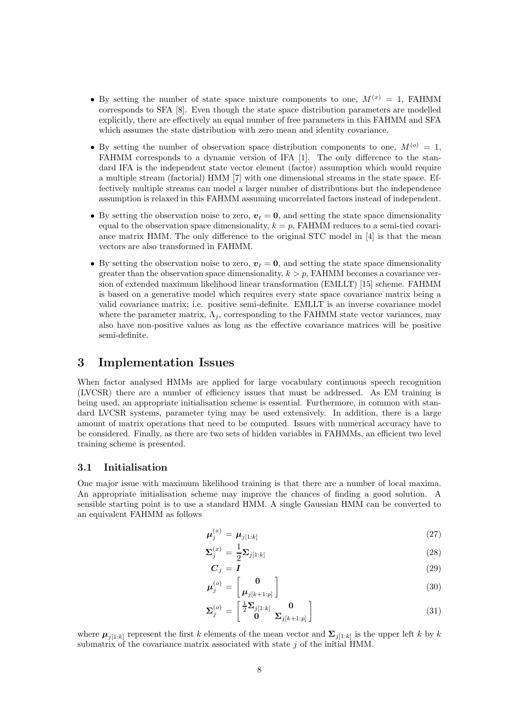- By setting the number of state space mixture components to one,  $M^{(x)} = 1$ , FAHMM corresponds to SFA [8]. Even though the state space distribution parameters are modelled explicitly, there are effectively an equal number of free parameters in this FAHMM and SFA which assumes the state distribution with zero mean and identity covariance.
- By setting the number of observation space distribution components to one,  $M^{(o)} = 1$ , FAHMM corresponds to a dynamic version of IFA [1]. The only difference to the standard IFA is the independent state vector element (factor) assumption which would require a multiple stream (factorial) HMM [7] with one dimensional streams in the state space. Effectively multiple streams can model a larger number of distributions but the independence assumption is relaxed in this FAHMM assuming uncorrelated factors instead of independent.
- By setting the observation noise to zero,  $v_t = 0$ , and setting the state space dimensionality equal to the observation space dimensionality,  $k = p$ , FAHMM reduces to a semi-tied covariance matrix HMM. The only difference to the original STC model in [4] is that the mean vectors are also transformed in FAHMM.
- By setting the observation noise to zero,  $v_t = 0$ , and setting the state space dimensionality greater than the observation space dimensionality,  $k > p$ , FAHMM becomes a covariance version of extended maximum likelihood linear transformation (EMLLT) [15] scheme. FAHMM is based on a generative model which requires every state space covariance matrix being a valid covariance matrix; i.e. positive semi-definite. EMLLT is an inverse covariance model where the parameter matrix,  $\Lambda_i$ , corresponding to the FAHMM state vector variances, may also have non-positive values as long as the effective covariance matrices will be positive semi-definite.

# 3 Implementation Issues

When factor analysed HMMs are applied for large vocabulary continuous speech recognition (LVCSR) there are a number of efficiency issues that must be addressed. As EM training is being used, an appropriate initialisation scheme is essential. Furthermore, in common with standard LVCSR systems, parameter tying may be used extensively. In addition, there is a large amount of matrix operations that need to be computed. Issues with numerical accuracy have to be considered. Finally, as there are two sets of hidden variables in FAHMMs, an efficient two level training scheme is presented.

#### 3.1 Initialisation

One major issue with maximum likelihood training is that there are a number of local maxima. An appropriate initialisation scheme may improve the chances of finding a good solution. A sensible starting point is to use a standard HMM. A single Gaussian HMM can be converted to an equivalent FAHMM as follows

$$
\mu_j^{(x)} = \mu_{j[1:k]} \tag{27}
$$

$$
\Sigma_j^{(x)} = \frac{1}{2} \Sigma_{j[1:k]} \tag{28}
$$

$$
C_j = I \tag{29}
$$

$$
\mu_j^{(o)} = \begin{bmatrix} 0 \\ \mu_{j[k+1:p]} \end{bmatrix}
$$
\n(30)

$$
\Sigma_j^{(o)} = \begin{bmatrix} \frac{1}{2} \Sigma_{j[1:k]} & 0\\ 0 & \Sigma_{j[k+1:p]} \end{bmatrix}
$$
\n(31)

where  $\mu_{j[1:k]}$  represent the first k elements of the mean vector and  $\Sigma_{j[1:k]}$  is the upper left k by k submatrix of the covariance matrix associated with state  $j$  of the initial HMM.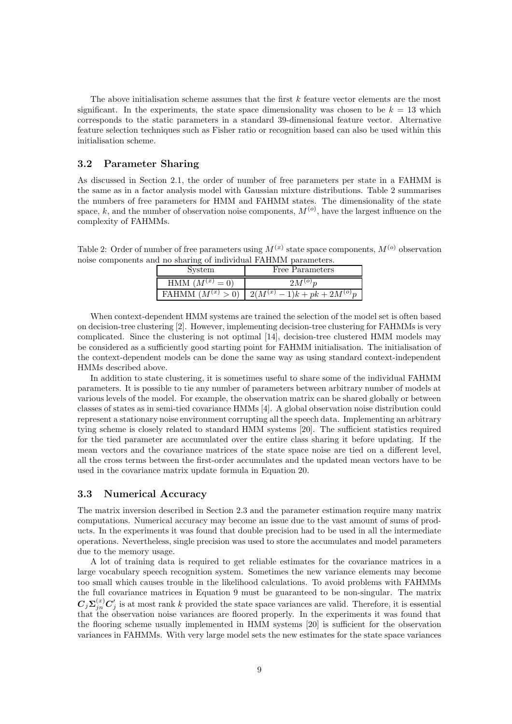The above initialisation scheme assumes that the first  $k$  feature vector elements are the most significant. In the experiments, the state space dimensionality was chosen to be  $k = 13$  which corresponds to the static parameters in a standard 39-dimensional feature vector. Alternative feature selection techniques such as Fisher ratio or recognition based can also be used within this initialisation scheme.

## 3.2 Parameter Sharing

As discussed in Section 2.1, the order of number of free parameters per state in a FAHMM is the same as in a factor analysis model with Gaussian mixture distributions. Table 2 summarises the numbers of free parameters for HMM and FAHMM states. The dimensionality of the state space, k, and the number of observation noise components,  $M^{(o)}$ , have the largest influence on the complexity of FAHMMs.

Table 2: Order of number of free parameters using  $M^{(x)}$  state space components,  $M^{(o)}$  observation noise components and no sharing of individual FAHMM parameters.

| System                               | Free Parameters                  |  |  |  |
|--------------------------------------|----------------------------------|--|--|--|
| HMM $(M^{(x)} = 0)$                  | $2M^{(o)}n$                      |  |  |  |
| $\overline{\text{FAHMM}}(M^{(x)}>0)$ | $2(M^{(x)}-1)k + pk + 2M^{(o)}p$ |  |  |  |

When context-dependent HMM systems are trained the selection of the model set is often based on decision-tree clustering [2]. However, implementing decision-tree clustering for FAHMMs is very complicated. Since the clustering is not optimal [14], decision-tree clustered HMM models may be considered as a sufficiently good starting point for FAHMM initialisation. The initialisation of the context-dependent models can be done the same way as using standard context-independent HMMs described above.

In addition to state clustering, it is sometimes useful to share some of the individual FAHMM parameters. It is possible to tie any number of parameters between arbitrary number of models at various levels of the model. For example, the observation matrix can be shared globally or between classes of states as in semi-tied covariance HMMs [4]. A global observation noise distribution could represent a stationary noise environment corrupting all the speech data. Implementing an arbitrary tying scheme is closely related to standard HMM systems [20]. The sufficient statistics required for the tied parameter are accumulated over the entire class sharing it before updating. If the mean vectors and the covariance matrices of the state space noise are tied on a different level, all the cross terms between the first-order accumulates and the updated mean vectors have to be used in the covariance matrix update formula in Equation 20.

#### 3.3 Numerical Accuracy

The matrix inversion described in Section 2.3 and the parameter estimation require many matrix computations. Numerical accuracy may become an issue due to the vast amount of sums of products. In the experiments it was found that double precision had to be used in all the intermediate operations. Nevertheless, single precision was used to store the accumulates and model parameters due to the memory usage.

A lot of training data is required to get reliable estimates for the covariance matrices in a large vocabulary speech recognition system. Sometimes the new variance elements may become too small which causes trouble in the likelihood calculations. To avoid problems with FAHMMs the full covariance matrices in Equation 9 must be guaranteed to be non-singular. The matrix  $C_j \Sigma_{jn}^{(x)} C'_j$  is at most rank k provided the state space variances are valid. Therefore, it is essential that the observation noise variances are floored properly. In the experiments it was found that the flooring scheme usually implemented in HMM systems [20] is sufficient for the observation variances in FAHMMs. With very large model sets the new estimates for the state space variances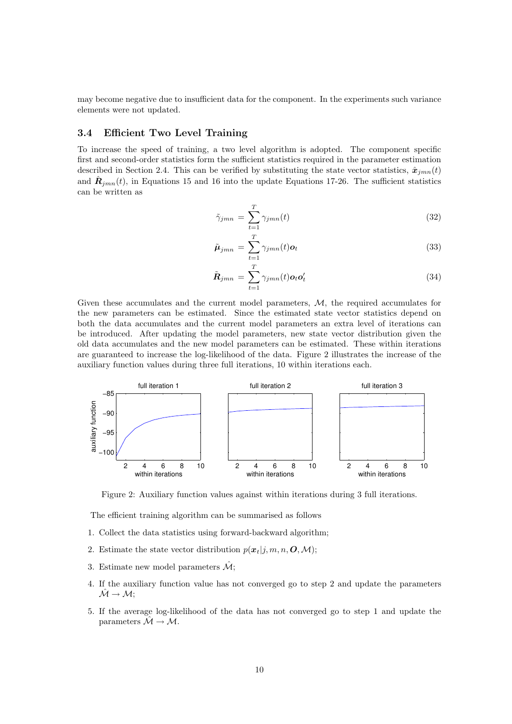may become negative due to insufficient data for the component. In the experiments such variance elements were not updated.

## 3.4 Efficient Two Level Training

To increase the speed of training, a two level algorithm is adopted. The component specific first and second-order statistics form the sufficient statistics required in the parameter estimation described in Section 2.4. This can be verified by substituting the state vector statistics,  $\hat{x}_{jmn}(t)$ and  $\hat{\mathbf{R}}_{jmn}(t)$ , in Equations 15 and 16 into the update Equations 17-26. The sufficient statistics can be written as

$$
\tilde{\gamma}_{jmn} = \sum_{t=1}^{T} \gamma_{jmn}(t) \tag{32}
$$

$$
\tilde{\boldsymbol{\mu}}_{jmn} = \sum_{t=1}^{T} \gamma_{jmn}(t) \boldsymbol{o}_t
$$
\n(33)

$$
\tilde{\boldsymbol{R}}_{jmn} = \sum_{t=1}^{T} \gamma_{jmn}(t) \boldsymbol{o}_t \boldsymbol{o}_t' \tag{34}
$$

Given these accumulates and the current model parameters,  $M$ , the required accumulates for the new parameters can be estimated. Since the estimated state vector statistics depend on both the data accumulates and the current model parameters an extra level of iterations can be introduced. After updating the model parameters, new state vector distribution given the old data accumulates and the new model parameters can be estimated. These within iterations are guaranteed to increase the log-likelihood of the data. Figure 2 illustrates the increase of the auxiliary function values during three full iterations, 10 within iterations each.



Figure 2: Auxiliary function values against within iterations during 3 full iterations.

The efficient training algorithm can be summarised as follows

- 1. Collect the data statistics using forward-backward algorithm;
- 2. Estimate the state vector distribution  $p(\mathbf{x}_t|j, m, n, \mathbf{O}, \mathcal{M});$
- 3. Estimate new model parameters  $\mathcal{\hat{M}}$ ;
- 4. If the auxiliary function value has not converged go to step 2 and update the parameters  $\mathcal{\hat{M}} \rightarrow \mathcal{M};$
- 5. If the average log-likelihood of the data has not converged go to step 1 and update the parameters  $\mathcal{\hat{M}} \rightarrow \mathcal{M}$ .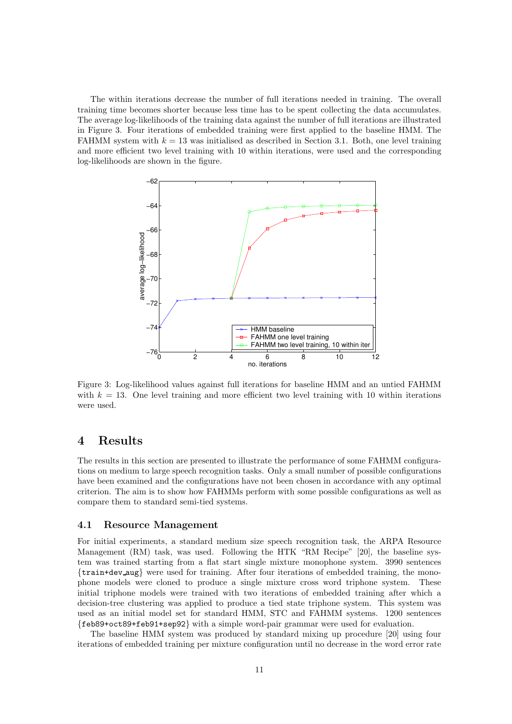The within iterations decrease the number of full iterations needed in training. The overall training time becomes shorter because less time has to be spent collecting the data accumulates. The average log-likelihoods of the training data against the number of full iterations are illustrated in Figure 3. Four iterations of embedded training were first applied to the baseline HMM. The FAHMM system with  $k = 13$  was initialised as described in Section 3.1. Both, one level training and more efficient two level training with 10 within iterations, were used and the corresponding log-likelihoods are shown in the figure.



Figure 3: Log-likelihood values against full iterations for baseline HMM and an untied FAHMM with  $k = 13$ . One level training and more efficient two level training with 10 within iterations were used.

## 4 Results

The results in this section are presented to illustrate the performance of some FAHMM configurations on medium to large speech recognition tasks. Only a small number of possible configurations have been examined and the configurations have not been chosen in accordance with any optimal criterion. The aim is to show how FAHMMs perform with some possible configurations as well as compare them to standard semi-tied systems.

#### 4.1 Resource Management

For initial experiments, a standard medium size speech recognition task, the ARPA Resource Management (RM) task, was used. Following the HTK "RM Recipe" [20], the baseline system was trained starting from a flat start single mixture monophone system. 3990 sentences {train+dev aug} were used for training. After four iterations of embedded training, the monophone models were cloned to produce a single mixture cross word triphone system. These initial triphone models were trained with two iterations of embedded training after which a decision-tree clustering was applied to produce a tied state triphone system. This system was used as an initial model set for standard HMM, STC and FAHMM systems. 1200 sentences {feb89+oct89+feb91+sep92} with a simple word-pair grammar were used for evaluation.

The baseline HMM system was produced by standard mixing up procedure [20] using four iterations of embedded training per mixture configuration until no decrease in the word error rate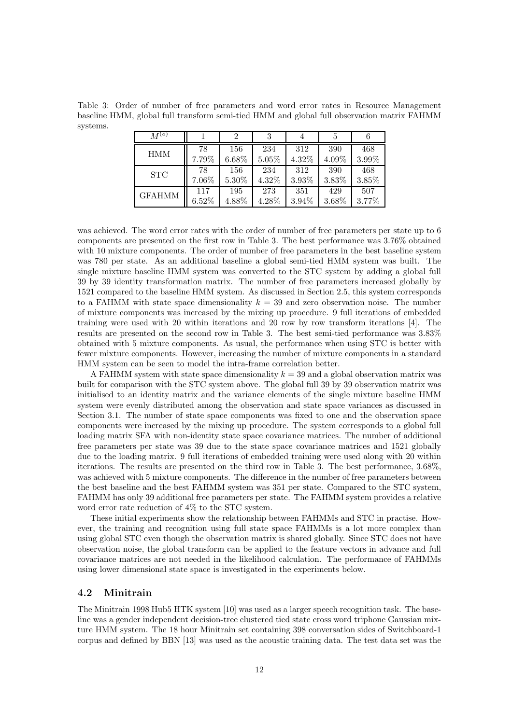Table 3: Order of number of free parameters and word error rates in Resource Management baseline HMM, global full transform semi-tied HMM and global full observation matrix FAHMM systems.

| $M^{(o)}$     |          | 2     | 3     |          |       |          |
|---------------|----------|-------|-------|----------|-------|----------|
| <b>HMM</b>    | 78       | 156   | 234   | 312      | 390   | 468      |
|               | 7.79%    | 6.68% | 5.05% | 4.32%    | 4.09% | 3.99%    |
| <b>STC</b>    | 78       | 156   | 234   | 312      | 390   | 468      |
|               | 7.06%    | 5.30% | 4.32% | $3.93\%$ | 3.83% | $3.85\%$ |
| <b>GFAHMM</b> | 117      | 195   | 273   | 351      | 429   | 507      |
|               | $6.52\%$ | 4.88% | 4.28% | 3.94%    | 3.68% | 3.77%    |

was achieved. The word error rates with the order of number of free parameters per state up to 6 components are presented on the first row in Table 3. The best performance was 3.76% obtained with 10 mixture components. The order of number of free parameters in the best baseline system was 780 per state. As an additional baseline a global semi-tied HMM system was built. The single mixture baseline HMM system was converted to the STC system by adding a global full 39 by 39 identity transformation matrix. The number of free parameters increased globally by 1521 compared to the baseline HMM system. As discussed in Section 2.5, this system corresponds to a FAHMM with state space dimensionality  $k = 39$  and zero observation noise. The number of mixture components was increased by the mixing up procedure. 9 full iterations of embedded training were used with 20 within iterations and 20 row by row transform iterations [4]. The results are presented on the second row in Table 3. The best semi-tied performance was 3.83% obtained with 5 mixture components. As usual, the performance when using STC is better with fewer mixture components. However, increasing the number of mixture components in a standard HMM system can be seen to model the intra-frame correlation better.

A FAHMM system with state space dimensionality  $k = 39$  and a global observation matrix was built for comparison with the STC system above. The global full 39 by 39 observation matrix was initialised to an identity matrix and the variance elements of the single mixture baseline HMM system were evenly distributed among the observation and state space variances as discussed in Section 3.1. The number of state space components was fixed to one and the observation space components were increased by the mixing up procedure. The system corresponds to a global full loading matrix SFA with non-identity state space covariance matrices. The number of additional free parameters per state was 39 due to the state space covariance matrices and 1521 globally due to the loading matrix. 9 full iterations of embedded training were used along with 20 within iterations. The results are presented on the third row in Table 3. The best performance, 3.68%, was achieved with 5 mixture components. The difference in the number of free parameters between the best baseline and the best FAHMM system was 351 per state. Compared to the STC system, FAHMM has only 39 additional free parameters per state. The FAHMM system provides a relative word error rate reduction of 4% to the STC system.

These initial experiments show the relationship between FAHMMs and STC in practise. However, the training and recognition using full state space FAHMMs is a lot more complex than using global STC even though the observation matrix is shared globally. Since STC does not have observation noise, the global transform can be applied to the feature vectors in advance and full covariance matrices are not needed in the likelihood calculation. The performance of FAHMMs using lower dimensional state space is investigated in the experiments below.

## 4.2 Minitrain

The Minitrain 1998 Hub5 HTK system [10] was used as a larger speech recognition task. The baseline was a gender independent decision-tree clustered tied state cross word triphone Gaussian mixture HMM system. The 18 hour Minitrain set containing 398 conversation sides of Switchboard-1 corpus and defined by BBN [13] was used as the acoustic training data. The test data set was the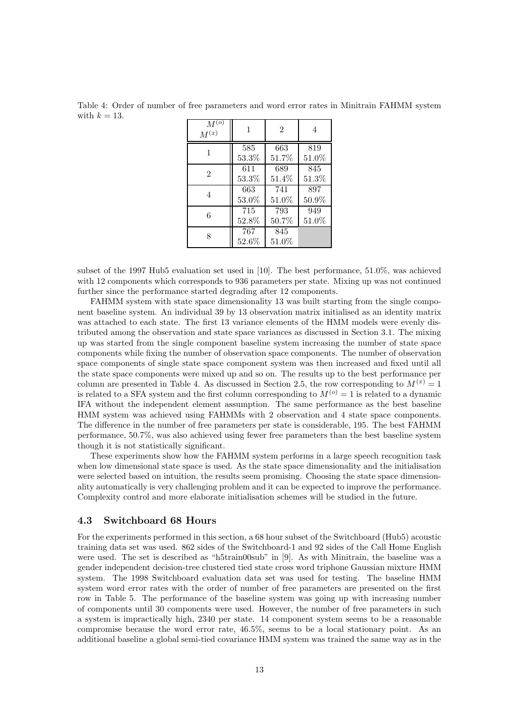Table 4: Order of number of free parameters and word error rates in Minitrain FAHMM system with  $k = 13$ .

| $M^{\vee}$<br>$\mathcal{M}^{(x)}$ | 1               | $\overline{2}$  | 4     |  |
|-----------------------------------|-----------------|-----------------|-------|--|
| 1                                 | 585             | 663             | 819   |  |
|                                   | 53.3%           | 51.7%           | 51.0% |  |
| $\overline{2}$                    | 611             | 689             | 845   |  |
|                                   | 53.3%           | $51.4\%$        | 51.3% |  |
| 4                                 | 663             | 741             | 897   |  |
|                                   | 53.0%           | $51.0\%$        | 50.9% |  |
| 6                                 | 715             | 793             | 949   |  |
|                                   | 52.8%           | $50.7\%$        | 51.0% |  |
|                                   | 767<br>$52.6\%$ | 845<br>$51.0\%$ |       |  |

subset of the 1997 Hub5 evaluation set used in [10]. The best performance, 51.0%, was achieved with 12 components which corresponds to 936 parameters per state. Mixing up was not continued further since the performance started degrading after 12 components.

FAHMM system with state space dimensionality 13 was built starting from the single component baseline system. An individual 39 by 13 observation matrix initialised as an identity matrix was attached to each state. The first 13 variance elements of the HMM models were evenly distributed among the observation and state space variances as discussed in Section 3.1. The mixing up was started from the single component baseline system increasing the number of state space components while fixing the number of observation space components. The number of observation space components of single state space component system was then increased and fixed until all the state space components were mixed up and so on. The results up to the best performance per column are presented in Table 4. As discussed in Section 2.5, the row corresponding to  $M^{(x)} = 1$ is related to a SFA system and the first column corresponding to  $M^{(o)} = 1$  is related to a dynamic IFA without the independent element assumption. The same performance as the best baseline HMM system was achieved using FAHMMs with 2 observation and 4 state space components. The difference in the number of free parameters per state is considerable, 195. The best FAHMM performance, 50.7%, was also achieved using fewer free parameters than the best baseline system though it is not statistically significant.

These experiments show how the FAHMM system performs in a large speech recognition task when low dimensional state space is used. As the state space dimensionality and the initialisation were selected based on intuition, the results seem promising. Choosing the state space dimensionality automatically is very challenging problem and it can be expected to improve the performance. Complexity control and more elaborate initialisation schemes will be studied in the future.

#### 4.3 Switchboard 68 Hours

For the experiments performed in this section, a 68 hour subset of the Switchboard (Hub5) acoustic training data set was used. 862 sides of the Switchboard-1 and 92 sides of the Call Home English were used. The set is described as "h5train00sub" in [9]. As with Minitrain, the baseline was a gender independent decision-tree clustered tied state cross word triphone Gaussian mixture HMM system. The 1998 Switchboard evaluation data set was used for testing. The baseline HMM system word error rates with the order of number of free parameters are presented on the first row in Table 5. The performance of the baseline system was going up with increasing number of components until 30 components were used. However, the number of free parameters in such a system is impractically high, 2340 per state. 14 component system seems to be a reasonable compromise because the word error rate, 46.5%, seems to be a local stationary point. As an additional baseline a global semi-tied covariance HMM system was trained the same way as in the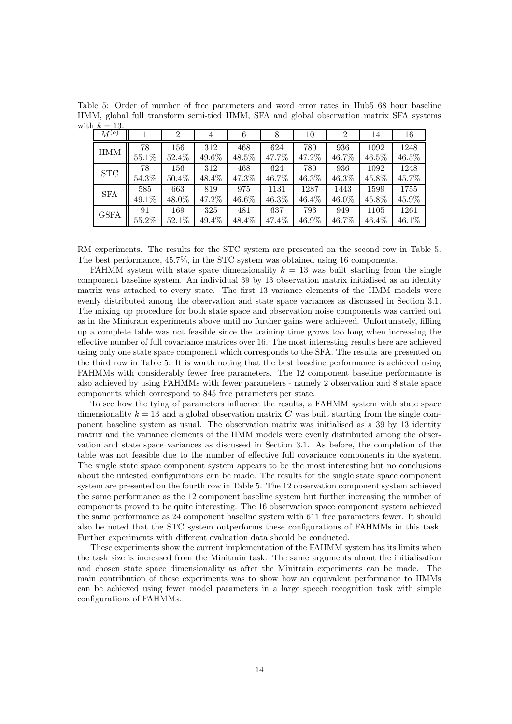Table 5: Order of number of free parameters and word error rates in Hub5 68 hour baseline HMM, global full transform semi-tied HMM, SFA and global observation matrix SFA systems with  $k = 13$ .

| $M^{(o)}$                       |       |       | 4     | 6     |       | 10    | 12    | 14    | 16    |
|---------------------------------|-------|-------|-------|-------|-------|-------|-------|-------|-------|
| <b>HMM</b>                      | 78    | 156   | 312   | 468   | 624   | 780   | 936   | 1092  | 1248  |
|                                 | 55.1% | 52.4% | 49.6% | 48.5% | 47.7% | 47.2% | 46.7% | 46.5% | 46.5% |
| ${\hbox{\footnotesize\rm STC}}$ | 78    | 156   | 312   | 468   | 624   | 780   | 936   | 1092  | 1248  |
|                                 | 54.3% | 50.4% | 48.4% | 47.3% | 46.7% | 46.3% | 46.3% | 45.8% | 45.7% |
| <b>SFA</b>                      | 585   | 663   | 819   | 975   | 1131  | 1287  | 1443  | 1599  | 1755  |
|                                 | 49.1% | 48.0% | 47.2% | 46.6% | 46.3% | 46.4% | 46.0% | 45.8% | 45.9% |
| <b>GSFA</b>                     | 91    | 169   | 325   | 481   | 637   | 793   | 949   | 1105  | 1261  |
|                                 | 55.2% | 52.1% | 49.4% | 48.4% | 47.4% | 46.9% | 46.7% | 46.4% | 46.1% |

RM experiments. The results for the STC system are presented on the second row in Table 5. The best performance, 45.7%, in the STC system was obtained using 16 components.

FAHMM system with state space dimensionality  $k = 13$  was built starting from the single component baseline system. An individual 39 by 13 observation matrix initialised as an identity matrix was attached to every state. The first 13 variance elements of the HMM models were evenly distributed among the observation and state space variances as discussed in Section 3.1. The mixing up procedure for both state space and observation noise components was carried out as in the Minitrain experiments above until no further gains were achieved. Unfortunately, filling up a complete table was not feasible since the training time grows too long when increasing the effective number of full covariance matrices over 16. The most interesting results here are achieved using only one state space component which corresponds to the SFA. The results are presented on the third row in Table 5. It is worth noting that the best baseline performance is achieved using FAHMMs with considerably fewer free parameters. The 12 component baseline performance is also achieved by using FAHMMs with fewer parameters - namely 2 observation and 8 state space components which correspond to 845 free parameters per state.

To see how the tying of parameters influence the results, a FAHMM system with state space dimensionality  $k = 13$  and a global observation matrix C was built starting from the single component baseline system as usual. The observation matrix was initialised as a 39 by 13 identity matrix and the variance elements of the HMM models were evenly distributed among the observation and state space variances as discussed in Section 3.1. As before, the completion of the table was not feasible due to the number of effective full covariance components in the system. The single state space component system appears to be the most interesting but no conclusions about the untested configurations can be made. The results for the single state space component system are presented on the fourth row in Table 5. The 12 observation component system achieved the same performance as the 12 component baseline system but further increasing the number of components proved to be quite interesting. The 16 observation space component system achieved the same performance as 24 component baseline system with 611 free parameters fewer. It should also be noted that the STC system outperforms these configurations of FAHMMs in this task. Further experiments with different evaluation data should be conducted.

These experiments show the current implementation of the FAHMM system has its limits when the task size is increased from the Minitrain task. The same arguments about the initialisation and chosen state space dimensionality as after the Minitrain experiments can be made. The main contribution of these experiments was to show how an equivalent performance to HMMs can be achieved using fewer model parameters in a large speech recognition task with simple configurations of FAHMMs.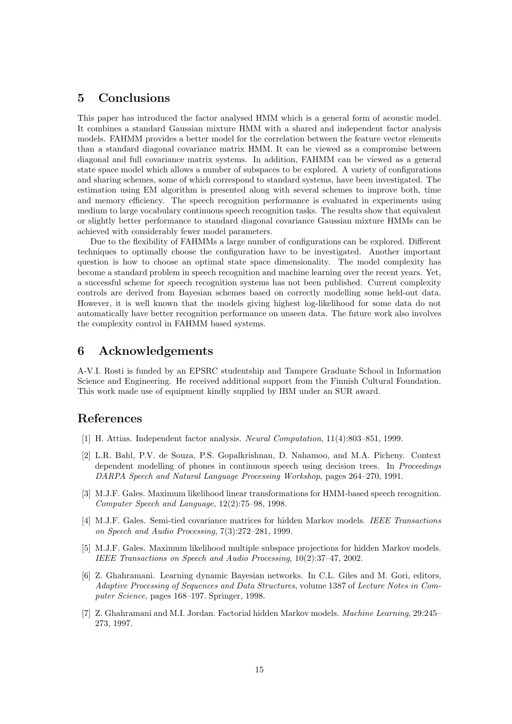# 5 Conclusions

This paper has introduced the factor analysed HMM which is a general form of acoustic model. It combines a standard Gaussian mixture HMM with a shared and independent factor analysis models. FAHMM provides a better model for the correlation between the feature vector elements than a standard diagonal covariance matrix HMM. It can be viewed as a compromise between diagonal and full covariance matrix systems. In addition, FAHMM can be viewed as a general state space model which allows a number of subspaces to be explored. A variety of configurations and sharing schemes, some of which correspond to standard systems, have been investigated. The estimation using EM algorithm is presented along with several schemes to improve both, time and memory efficiency. The speech recognition performance is evaluated in experiments using medium to large vocabulary continuous speech recognition tasks. The results show that equivalent or slightly better performance to standard diagonal covariance Gaussian mixture HMMs can be achieved with considerably fewer model parameters.

Due to the flexibility of FAHMMs a large number of configurations can be explored. Different techniques to optimally choose the configuration have to be investigated. Another important question is how to choose an optimal state space dimensionality. The model complexity has become a standard problem in speech recognition and machine learning over the recent years. Yet, a successful scheme for speech recognition systems has not been published. Current complexity controls are derived from Bayesian schemes based on correctly modelling some held-out data. However, it is well known that the models giving highest log-likelihood for some data do not automatically have better recognition performance on unseen data. The future work also involves the complexity control in FAHMM based systems.

# 6 Acknowledgements

A-V.I. Rosti is funded by an EPSRC studentship and Tampere Graduate School in Information Science and Engineering. He received additional support from the Finnish Cultural Foundation. This work made use of equipment kindly supplied by IBM under an SUR award.

# References

- [1] H. Attias. Independent factor analysis. Neural Computation, 11(4):803–851, 1999.
- [2] L.R. Bahl, P.V. de Souza, P.S. Gopalkrishnan, D. Nahamoo, and M.A. Picheny. Context dependent modelling of phones in continuous speech using decision trees. In Proceedings DARPA Speech and Natural Language Processing Workshop, pages 264–270, 1991.
- [3] M.J.F. Gales. Maximum likelihood linear transformations for HMM-based speech recognition. Computer Speech and Language, 12(2):75–98, 1998.
- [4] M.J.F. Gales. Semi-tied covariance matrices for hidden Markov models. IEEE Transactions on Speech and Audio Processing, 7(3):272–281, 1999.
- [5] M.J.F. Gales. Maximum likelihood multiple subspace projections for hidden Markov models. IEEE Transactions on Speech and Audio Processing, 10(2):37–47, 2002.
- [6] Z. Ghahramani. Learning dynamic Bayesian networks. In C.L. Giles and M. Gori, editors, Adaptive Processing of Sequences and Data Structures, volume 1387 of Lecture Notes in Computer Science, pages 168–197. Springer, 1998.
- [7] Z. Ghahramani and M.I. Jordan. Factorial hidden Markov models. Machine Learning, 29:245– 273, 1997.